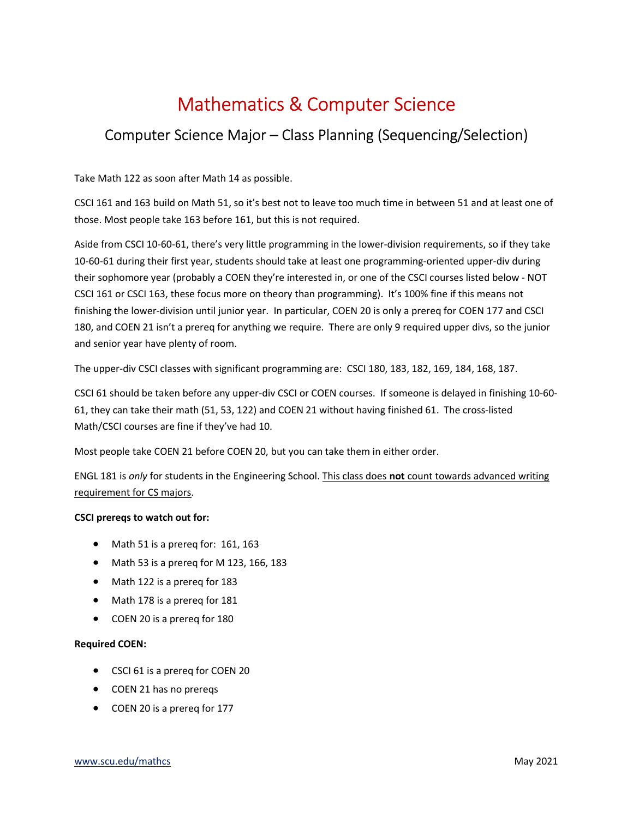## Mathematics & Computer Science

## Computer Science Major – Class Planning (Sequencing/Selection)

Take Math 122 as soon after Math 14 as possible.

CSCI 161 and 163 build on Math 51, so it's best not to leave too much time in between 51 and at least one of those. Most people take 163 before 161, but this is not required.

Aside from CSCI 10-60-61, there's very little programming in the lower-division requirements, so if they take 10-60-61 during their first year, students should take at least one programming-oriented upper-div during their sophomore year (probably a COEN they're interested in, or one of the CSCI courses listed below - NOT CSCI 161 or CSCI 163, these focus more on theory than programming). It's 100% fine if this means not finishing the lower-division until junior year. In particular, COEN 20 is only a prereq for COEN 177 and CSCI 180, and COEN 21 isn't a prereq for anything we require. There are only 9 required upper divs, so the junior and senior year have plenty of room.

The upper-div CSCI classes with significant programming are: CSCI 180, 183, 182, 169, 184, 168, 187.

CSCI 61 should be taken before any upper-div CSCI or COEN courses. If someone is delayed in finishing 10-60- 61, they can take their math (51, 53, 122) and COEN 21 without having finished 61. The cross-listed Math/CSCI courses are fine if they've had 10.

Most people take COEN 21 before COEN 20, but you can take them in either order.

ENGL 181 is only for students in the Engineering School. This class does not count towards advanced writing requirement for CS majors.

## CSCI prereqs to watch out for:

- Math 51 is a prereq for: 161, 163
- Math 53 is a prereq for M 123, 166, 183
- Math 122 is a prereq for 183
- Math 178 is a prereq for 181
- COEN 20 is a prereq for 180

## Required COEN:

- CSCI 61 is a prereq for COEN 20
- COEN 21 has no prereqs
- COEN 20 is a prereg for 177